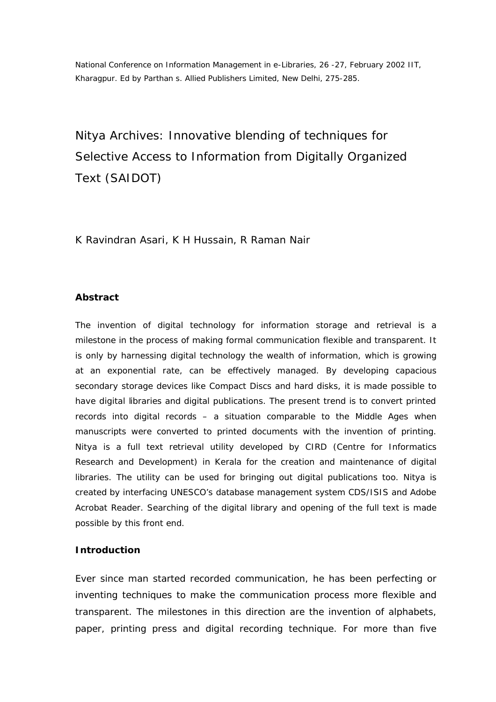National Conference on Information Management in e-Libraries, 26 -27, February 2002 IIT, Kharagpur. Ed by Parthan s. Allied Publishers Limited, New Delhi, 275-285.

Nitya Archives: Innovative blending of techniques for Selective Access to Information from Digitally Organized Text (SAIDOT)

K Ravindran Asari, K H Hussain, R Raman Nair

#### **Abstract**

*The invention of digital technology for information storage and retrieval is a milestone in the process of making formal communication flexible and transparent. It is only by harnessing digital technology the wealth of information, which is growing at an exponential rate, can be effectively managed. By developing capacious secondary storage devices like Compact Discs and hard disks, it is made possible to have digital libraries and digital publications. The present trend is to convert printed records into digital records – a situation comparable to the Middle Ages when manuscripts were converted to printed documents with the invention of printing. Nitya is a full text retrieval utility developed by CIRD (Centre for Informatics Research and Development) in Kerala for the creation and maintenance of digital libraries. The utility can be used for bringing out digital publications too. Nitya is created by interfacing UNESCO's database management system CDS/ISIS and Adobe Acrobat Reader. Searching of the digital library and opening of the full text is made possible by this front end.*

#### **Introduction**

Ever since man started recorded communication, he has been perfecting or inventing techniques to make the communication process more flexible and transparent. The milestones in this direction are the invention of alphabets, paper, printing press and digital recording technique. For more than five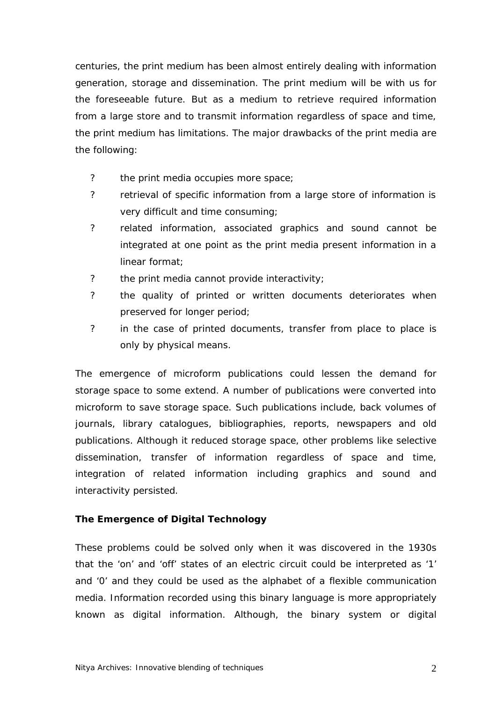centuries, the print medium has been almost entirely dealing with information generation, storage and dissemination. The print medium will be with us for the foreseeable future. But as a medium to retrieve required information from a large store and to transmit information regardless of space and time, the print medium has limitations. The major drawbacks of the print media are the following:

- ? the print media occupies more space;
- ? retrieval of specific information from a large store of information is very difficult and time consuming;
- ? related information, associated graphics and sound cannot be integrated at one point as the print media present information in a linear format;
- ? the print media cannot provide interactivity;
- ? the quality of printed or written documents deteriorates when preserved for longer period;
- ? in the case of printed documents, transfer from place to place is only by physical means.

The emergence of microform publications could lessen the demand for storage space to some extend. A number of publications were converted into microform to save storage space. Such publications include, back volumes of journals, library catalogues, bibliographies, reports, newspapers and old publications. Although it reduced storage space, other problems like selective dissemination, transfer of information regardless of space and time, integration of related information including graphics and sound and interactivity persisted.

# **The Emergence of Digital Technology**

These problems could be solved only when it was discovered in the 1930s that the 'on' and 'off' states of an electric circuit could be interpreted as '1' and '0' and they could be used as the alphabet of a flexible communication media. Information recorded using this binary language is more appropriately known as digital information. Although, the binary system or digital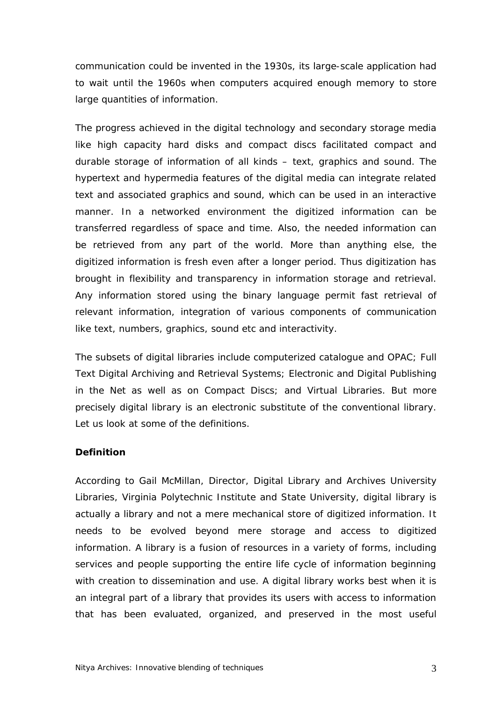communication could be invented in the 1930s, its large-scale application had to wait until the 1960s when computers acquired enough memory to store large quantities of information.

The progress achieved in the digital technology and secondary storage media like high capacity hard disks and compact discs facilitated compact and durable storage of information of all kinds – text, graphics and sound. The hypertext and hypermedia features of the digital media can integrate related text and associated graphics and sound, which can be used in an interactive manner. In a networked environment the digitized information can be transferred regardless of space and time. Also, the needed information can be retrieved from any part of the world. More than anything else, the digitized information is fresh even after a longer period. Thus digitization has brought in flexibility and transparency in information storage and retrieval. Any information stored using the binary language permit fast retrieval of relevant information, integration of various components of communication like text, numbers, graphics, sound etc and interactivity.

The subsets of digital libraries include computerized catalogue and OPAC; Full Text Digital Archiving and Retrieval Systems; Electronic and Digital Publishing in the Net as well as on Compact Discs; and Virtual Libraries. But more precisely digital library is an electronic substitute of the conventional library. Let us look at some of the definitions.

#### **Definition**

According to Gail McMillan, Director, Digital Library and Archives University Libraries, Virginia Polytechnic Institute and State University, digital library is actually a library and not a mere mechanical store of digitized information. It needs to be evolved beyond mere storage and access to digitized information. A library is a fusion of resources in a variety of forms, including services and people supporting the entire life cycle of information beginning with creation to dissemination and use. A digital library works best when it is an integral part of a library that provides its users with access to information that has been evaluated, organized, and preserved in the most useful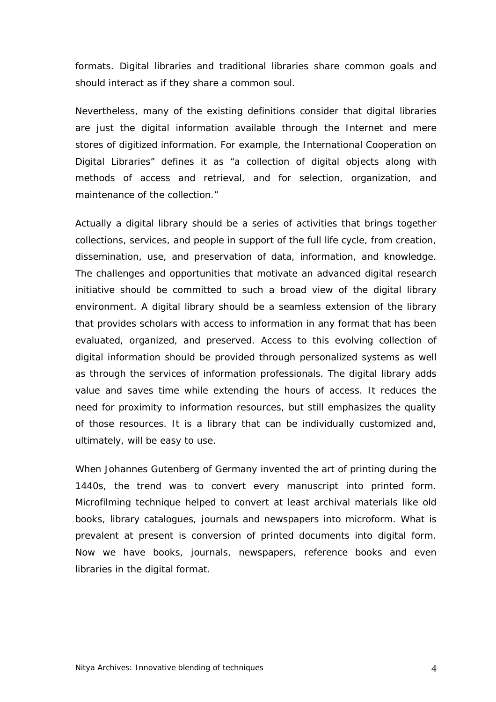formats. Digital libraries and traditional libraries share common goals and should interact as if they share a common soul.

Nevertheless, many of the existing definitions consider that digital libraries are just the digital information available through the Internet and mere stores of digitized information. For example, the International Cooperation on Digital Libraries" defines it as "a collection of digital objects along with methods of access and retrieval, and for selection, organization, and maintenance of the collection."

Actually a digital library should be a series of activities that brings together collections, services, and people in support of the full life cycle, from creation, dissemination, use, and preservation of data, information, and knowledge. The challenges and opportunities that motivate an advanced digital research initiative should be committed to such a broad view of the digital library environment. A digital library should be a seamless extension of the library that provides scholars with access to information in any format that has been evaluated, organized, and preserved. Access to this evolving collection of digital information should be provided through personalized systems as well as through the services of information professionals. The digital library adds value and saves time while extending the hours of access. It reduces the need for proximity to information resources, but still emphasizes the quality of those resources. It is a library that can be individually customized and, ultimately, will be easy to use.

When Johannes Gutenberg of Germany invented the art of printing during the 1440s, the trend was to convert every manuscript into printed form. Microfilming technique helped to convert at least archival materials like old books, library catalogues, journals and newspapers into microform. What is prevalent at present is conversion of printed documents into digital form. Now we have books, journals, newspapers, reference books and even libraries in the digital format.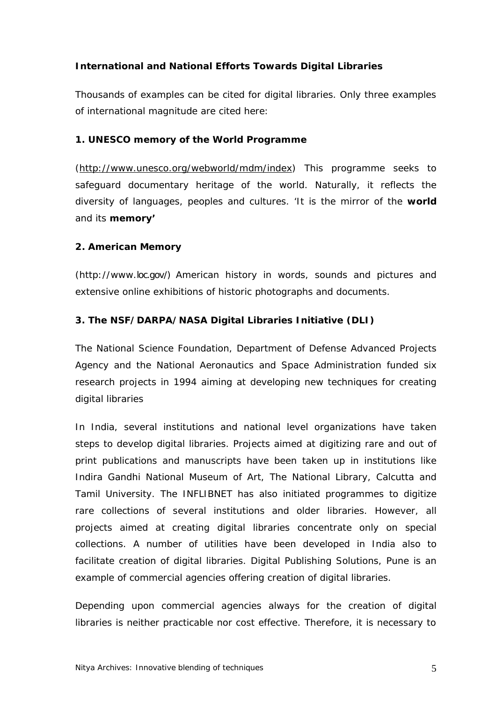# **International and National Efforts Towards Digital Libraries**

Thousands of examples can be cited for digital libraries. Only three examples of international magnitude are cited here:

## **1. UNESCO memory of the World Programme**

(http://www.unesco.org/webworld/mdm/index) This programme seeks to safeguard documentary heritage of the world. Naturally, it reflects the diversity of languages, peoples and cultures. 'It is the mirror of the **world** and its **memory'**

## **2. American Memory**

(http://www.loc.gov/) American history in words, sounds and pictures and extensive online exhibitions of historic photographs and documents.

# **3. The NSF/DARPA/NASA Digital Libraries Initiative (DLI)**

The National Science Foundation, Department of Defense Advanced Projects Agency and the National Aeronautics and Space Administration funded six research projects in 1994 aiming at developing new techniques for creating digital libraries

In India, several institutions and national level organizations have taken steps to develop digital libraries. Projects aimed at digitizing rare and out of print publications and manuscripts have been taken up in institutions like Indira Gandhi National Museum of Art, The National Library, Calcutta and Tamil University. The INFLIBNET has also initiated programmes to digitize rare collections of several institutions and older libraries. However, all projects aimed at creating digital libraries concentrate only on special collections. A number of utilities have been developed in India also to facilitate creation of digital libraries. Digital Publishing Solutions, Pune is an example of commercial agencies offering creation of digital libraries.

Depending upon commercial agencies always for the creation of digital libraries is neither practicable nor cost effective. Therefore, it is necessary to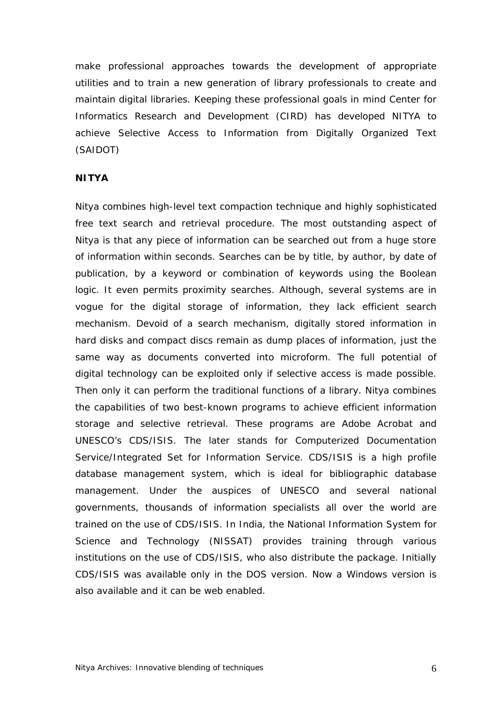make professional approaches towards the development of appropriate utilities and to train a new generation of library professionals to create and maintain digital libraries. Keeping these professional goals in mind Center for Informatics Research and Development (CIRD) has developed NITYA to achieve Selective Access to Information from Digitally Organized Text (SAIDOT)

### **NITYA**

Nitya combines high-level text compaction technique and highly sophisticated free text search and retrieval procedure. The most outstanding aspect of Nitya is that any piece of information can be searched out from a huge store of information within seconds. Searches can be by title, by author, by date of publication, by a keyword or combination of keywords using the Boolean logic. It even permits proximity searches. Although, several systems are in vogue for the digital storage of information, they lack efficient search mechanism. Devoid of a search mechanism, digitally stored information in hard disks and compact discs remain as dump places of information, just the same way as documents converted into microform. The full potential of digital technology can be exploited only if selective access is made possible. Then only it can perform the traditional functions of a library. Nitya combines the capabilities of two best-known programs to achieve efficient information storage and selective retrieval. These programs are Adobe Acrobat and UNESCO's CDS/ISIS. The later stands for Computerized Documentation Service/Integrated Set for Information Service. CDS/ISIS is a high profile database management system, which is ideal for bibliographic database management. Under the auspices of UNESCO and several national governments, thousands of information specialists all over the world are trained on the use of CDS/ISIS. In India, the National Information System for Science and Technology (NISSAT) provides training through various institutions on the use of CDS/ISIS, who also distribute the package. Initially CDS/ISIS was available only in the DOS version. Now a Windows version is also available and it can be web enabled.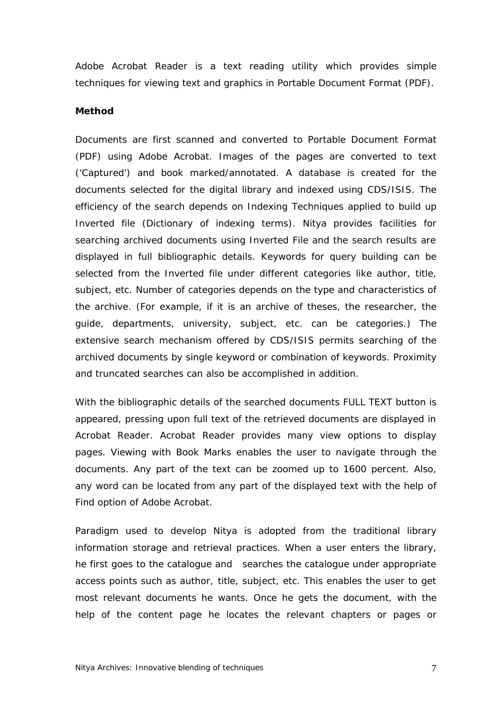Adobe Acrobat Reader is a text reading utility which provides simple techniques for viewing text and graphics in Portable Document Format (PDF).

#### **Method**

Documents are first scanned and converted to Portable Document Format (PDF) using Adobe Acrobat. Images of the pages are converted to text ('Captured') and book marked/annotated. A database is created for the documents selected for the digital library and indexed using CDS/ISIS. The efficiency of the search depends on Indexing Techniques applied to build up Inverted file (Dictionary of indexing terms). Nitya provides facilities for searching archived documents using Inverted File and the search results are displayed in full bibliographic details. Keywords for query building can be selected from the Inverted file under different categories like author, title, subject, etc. Number of categories depends on the type and characteristics of the archive. (For example, if it is an archive of theses, the researcher, the guide, departments, university, subject, etc. can be categories.) The extensive search mechanism offered by CDS/ISIS permits searching of the archived documents by single keyword or combination of keywords. Proximity and truncated searches can also be accomplished in addition.

With the bibliographic details of the searched documents FULL TEXT button is appeared, pressing upon full text of the retrieved documents are displayed in Acrobat Reader. Acrobat Reader provides many view options to display pages. Viewing with Book Marks enables the user to navigate through the documents. Any part of the text can be zoomed up to 1600 percent. Also, any word can be located from any part of the displayed text with the help of Find option of Adobe Acrobat.

Paradigm used to develop Nitya is adopted from the traditional library information storage and retrieval practices. When a user enters the library, he first goes to the catalogue and searches the catalogue under appropriate access points such as author, title, subject, etc. This enables the user to get most relevant documents he wants. Once he gets the document, with the help of the content page he locates the relevant chapters or pages or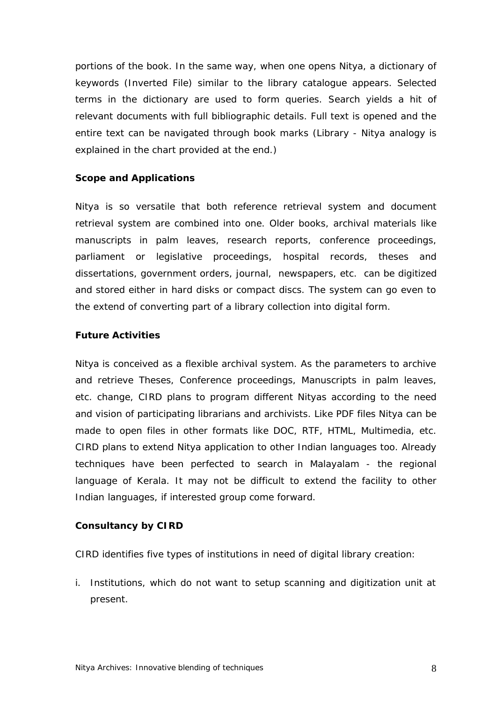portions of the book. In the same way, when one opens Nitya, a dictionary of keywords (Inverted File) similar to the library catalogue appears. Selected terms in the dictionary are used to form queries. Search yields a hit of relevant documents with full bibliographic details. Full text is opened and the entire text can be navigated through book marks (*Library - Nitya analogy is explained in the chart provided at the end*.)

### **Scope and Applications**

Nitya is so versatile that both reference retrieval system and document retrieval system are combined into one. Older books, archival materials like manuscripts in palm leaves, research reports, conference proceedings, parliament or legislative proceedings, hospital records, theses and dissertations, government orders, journal, newspapers, etc. can be digitized and stored either in hard disks or compact discs. The system can go even to the extend of converting part of a library collection into digital form.

### **Future Activities**

Nitya is conceived as a flexible archival system. As the parameters to archive and retrieve Theses, Conference proceedings, Manuscripts in palm leaves, etc. change, CIRD plans to program different Nityas according to the need and vision of participating librarians and archivists. Like PDF files Nitya can be made to open files in other formats like DOC, RTF, HTML, Multimedia, etc. CIRD plans to extend Nitya application to other Indian languages too. Already techniques have been perfected to search in Malayalam - the regional language of Kerala. It may not be difficult to extend the facility to other Indian languages, if interested group come forward.

## **Consultancy by CIRD**

CIRD identifies five types of institutions in need of digital library creation:

i. Institutions, which do not want to setup scanning and digitization unit at present.